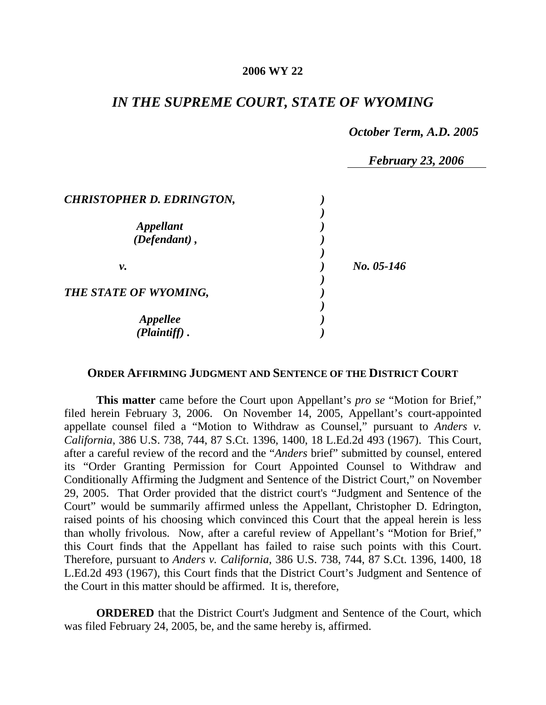#### **2006 WY 22**

## *IN THE SUPREME COURT, STATE OF WYOMING*

#### *October Term, A.D. 2005*

 *February 23, 2006 CHRISTOPHER D. EDRINGTON, ) ) Appellant ) (Defendant) , ) ) v. ) No. 05-146 ) THE STATE OF WYOMING, ) ) Appellee ) (Plaintiff) . )* 

### **ORDER AFFIRMING JUDGMENT AND SENTENCE OF THE DISTRICT COURT**

**This matter** came before the Court upon Appellant's *pro se* "Motion for Brief," filed herein February 3, 2006. On November 14, 2005, Appellant's court-appointed appellate counsel filed a "Motion to Withdraw as Counsel," pursuant to *Anders v. California*, 386 U.S. 738, 744, 87 S.Ct. 1396, 1400, 18 L.Ed.2d 493 (1967). This Court, after a careful review of the record and the "*Anders* brief" submitted by counsel, entered its "Order Granting Permission for Court Appointed Counsel to Withdraw and Conditionally Affirming the Judgment and Sentence of the District Court," on November 29, 2005. That Order provided that the district court's "Judgment and Sentence of the Court" would be summarily affirmed unless the Appellant, Christopher D. Edrington, raised points of his choosing which convinced this Court that the appeal herein is less than wholly frivolous. Now, after a careful review of Appellant's "Motion for Brief," this Court finds that the Appellant has failed to raise such points with this Court. Therefore, pursuant to *Anders v. California*, 386 U.S. 738, 744, 87 S.Ct. 1396, 1400, 18 L.Ed.2d 493 (1967), this Court finds that the District Court's Judgment and Sentence of the Court in this matter should be affirmed. It is, therefore,

**ORDERED** that the District Court's Judgment and Sentence of the Court, which was filed February 24, 2005, be, and the same hereby is, affirmed.